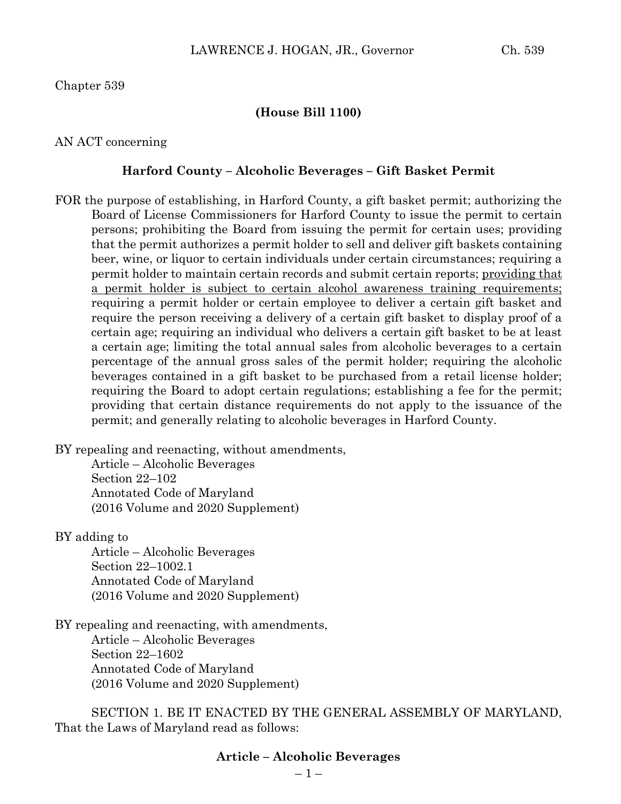#### **(House Bill 1100)**

AN ACT concerning

#### **Harford County – Alcoholic Beverages – Gift Basket Permit**

FOR the purpose of establishing, in Harford County, a gift basket permit; authorizing the Board of License Commissioners for Harford County to issue the permit to certain persons; prohibiting the Board from issuing the permit for certain uses; providing that the permit authorizes a permit holder to sell and deliver gift baskets containing beer, wine, or liquor to certain individuals under certain circumstances; requiring a permit holder to maintain certain records and submit certain reports; providing that a permit holder is subject to certain alcohol awareness training requirements; requiring a permit holder or certain employee to deliver a certain gift basket and require the person receiving a delivery of a certain gift basket to display proof of a certain age; requiring an individual who delivers a certain gift basket to be at least a certain age; limiting the total annual sales from alcoholic beverages to a certain percentage of the annual gross sales of the permit holder; requiring the alcoholic beverages contained in a gift basket to be purchased from a retail license holder; requiring the Board to adopt certain regulations; establishing a fee for the permit; providing that certain distance requirements do not apply to the issuance of the permit; and generally relating to alcoholic beverages in Harford County.

BY repealing and reenacting, without amendments,

Article – Alcoholic Beverages Section 22–102 Annotated Code of Maryland (2016 Volume and 2020 Supplement)

BY adding to

Article – Alcoholic Beverages Section 22–1002.1 Annotated Code of Maryland (2016 Volume and 2020 Supplement)

BY repealing and reenacting, with amendments, Article – Alcoholic Beverages Section 22–1602 Annotated Code of Maryland (2016 Volume and 2020 Supplement)

SECTION 1. BE IT ENACTED BY THE GENERAL ASSEMBLY OF MARYLAND, That the Laws of Maryland read as follows:

## **Article – Alcoholic Beverages**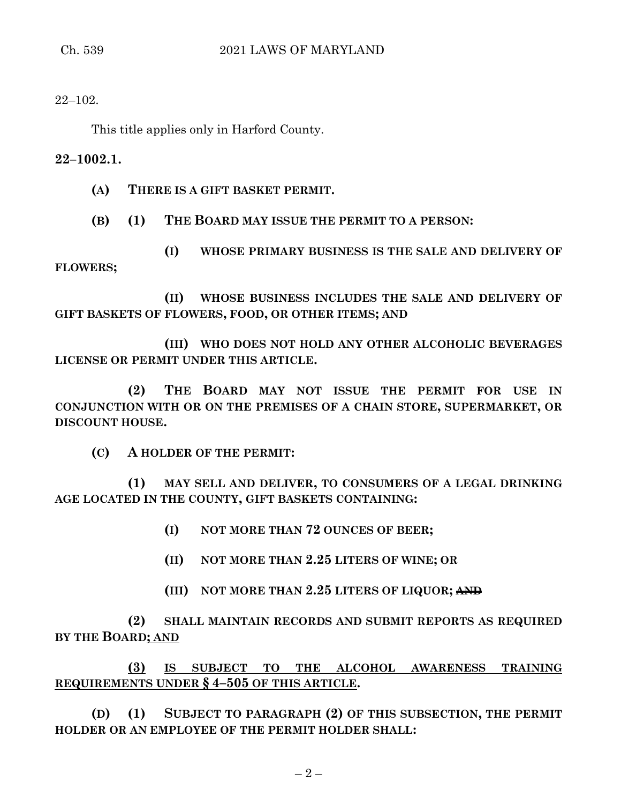22–102.

This title applies only in Harford County.

**22–1002.1.**

**(A) THERE IS A GIFT BASKET PERMIT.**

**(B) (1) THE BOARD MAY ISSUE THE PERMIT TO A PERSON:**

**(I) WHOSE PRIMARY BUSINESS IS THE SALE AND DELIVERY OF FLOWERS;**

**(II) WHOSE BUSINESS INCLUDES THE SALE AND DELIVERY OF GIFT BASKETS OF FLOWERS, FOOD, OR OTHER ITEMS; AND**

**(III) WHO DOES NOT HOLD ANY OTHER ALCOHOLIC BEVERAGES LICENSE OR PERMIT UNDER THIS ARTICLE.**

**(2) THE BOARD MAY NOT ISSUE THE PERMIT FOR USE IN CONJUNCTION WITH OR ON THE PREMISES OF A CHAIN STORE, SUPERMARKET, OR DISCOUNT HOUSE.**

**(C) A HOLDER OF THE PERMIT:**

**(1) MAY SELL AND DELIVER, TO CONSUMERS OF A LEGAL DRINKING AGE LOCATED IN THE COUNTY, GIFT BASKETS CONTAINING:**

- **(I) NOT MORE THAN 72 OUNCES OF BEER;**
- **(II) NOT MORE THAN 2.25 LITERS OF WINE; OR**
- **(III) NOT MORE THAN 2.25 LITERS OF LIQUOR; AND**

**(2) SHALL MAINTAIN RECORDS AND SUBMIT REPORTS AS REQUIRED BY THE BOARD; AND**

**(3) IS SUBJECT TO THE ALCOHOL AWARENESS TRAINING REQUIREMENTS UNDER § 4–505 OF THIS ARTICLE.**

**(D) (1) SUBJECT TO PARAGRAPH (2) OF THIS SUBSECTION, THE PERMIT HOLDER OR AN EMPLOYEE OF THE PERMIT HOLDER SHALL:**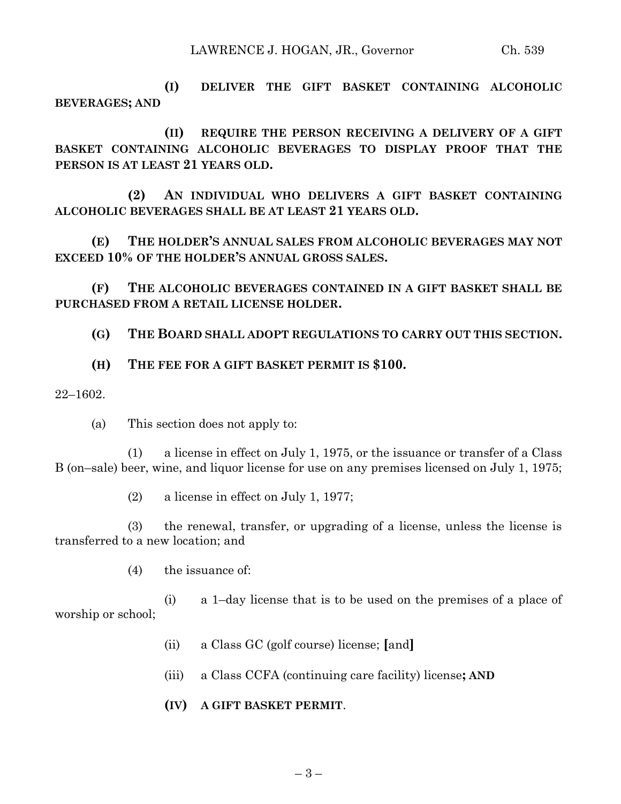**(I) DELIVER THE GIFT BASKET CONTAINING ALCOHOLIC BEVERAGES; AND**

**(II) REQUIRE THE PERSON RECEIVING A DELIVERY OF A GIFT BASKET CONTAINING ALCOHOLIC BEVERAGES TO DISPLAY PROOF THAT THE PERSON IS AT LEAST 21 YEARS OLD.**

**(2) AN INDIVIDUAL WHO DELIVERS A GIFT BASKET CONTAINING ALCOHOLIC BEVERAGES SHALL BE AT LEAST 21 YEARS OLD.**

**(E) THE HOLDER'S ANNUAL SALES FROM ALCOHOLIC BEVERAGES MAY NOT EXCEED 10% OF THE HOLDER'S ANNUAL GROSS SALES.**

**(F) THE ALCOHOLIC BEVERAGES CONTAINED IN A GIFT BASKET SHALL BE PURCHASED FROM A RETAIL LICENSE HOLDER.**

**(G) THE BOARD SHALL ADOPT REGULATIONS TO CARRY OUT THIS SECTION.**

**(H) THE FEE FOR A GIFT BASKET PERMIT IS \$100.**

22–1602.

(a) This section does not apply to:

(1) a license in effect on July 1, 1975, or the issuance or transfer of a Class B (on–sale) beer, wine, and liquor license for use on any premises licensed on July 1, 1975;

(2) a license in effect on July 1, 1977;

(3) the renewal, transfer, or upgrading of a license, unless the license is transferred to a new location; and

(4) the issuance of:

(i) a 1–day license that is to be used on the premises of a place of worship or school;

- (ii) a Class GC (golf course) license; **[**and**]**
- (iii) a Class CCFA (continuing care facility) license**; AND**
- **(IV) A GIFT BASKET PERMIT**.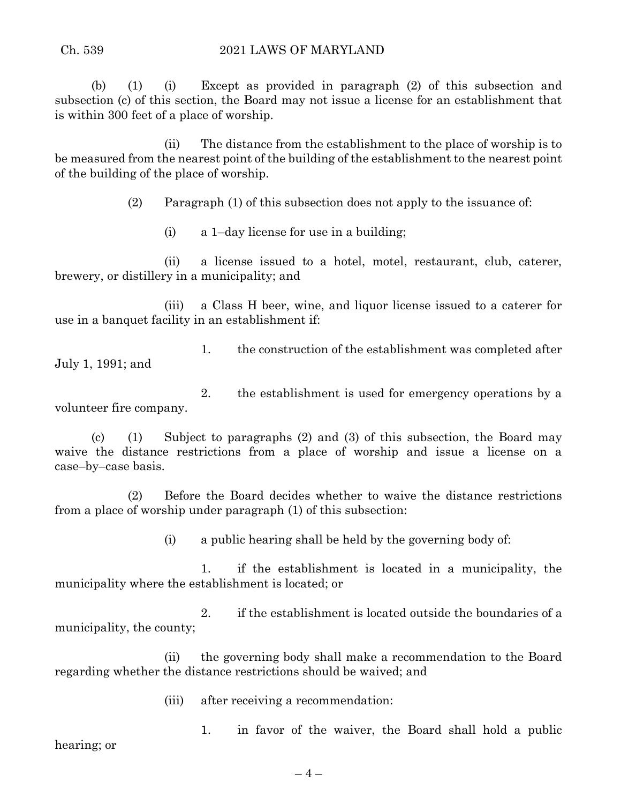(b) (1) (i) Except as provided in paragraph (2) of this subsection and subsection (c) of this section, the Board may not issue a license for an establishment that is within 300 feet of a place of worship.

(ii) The distance from the establishment to the place of worship is to be measured from the nearest point of the building of the establishment to the nearest point of the building of the place of worship.

(2) Paragraph (1) of this subsection does not apply to the issuance of:

(i) a 1–day license for use in a building;

(ii) a license issued to a hotel, motel, restaurant, club, caterer, brewery, or distillery in a municipality; and

(iii) a Class H beer, wine, and liquor license issued to a caterer for use in a banquet facility in an establishment if:

1. the construction of the establishment was completed after July 1, 1991; and

2. the establishment is used for emergency operations by a volunteer fire company.

(c) (1) Subject to paragraphs (2) and (3) of this subsection, the Board may waive the distance restrictions from a place of worship and issue a license on a case–by–case basis.

(2) Before the Board decides whether to waive the distance restrictions from a place of worship under paragraph (1) of this subsection:

(i) a public hearing shall be held by the governing body of:

1. if the establishment is located in a municipality, the municipality where the establishment is located; or

2. if the establishment is located outside the boundaries of a municipality, the county;

(ii) the governing body shall make a recommendation to the Board regarding whether the distance restrictions should be waived; and

(iii) after receiving a recommendation:

1. in favor of the waiver, the Board shall hold a public

hearing; or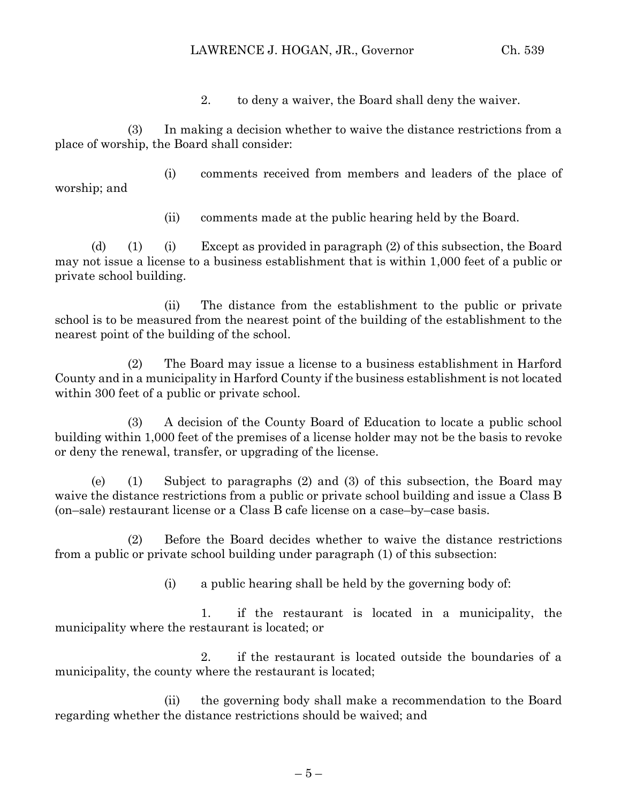## LAWRENCE J. HOGAN, JR., Governor Ch. 539

2. to deny a waiver, the Board shall deny the waiver.

(3) In making a decision whether to waive the distance restrictions from a place of worship, the Board shall consider:

(i) comments received from members and leaders of the place of worship; and

(ii) comments made at the public hearing held by the Board.

(d) (1) (i) Except as provided in paragraph (2) of this subsection, the Board may not issue a license to a business establishment that is within 1,000 feet of a public or private school building.

(ii) The distance from the establishment to the public or private school is to be measured from the nearest point of the building of the establishment to the nearest point of the building of the school.

(2) The Board may issue a license to a business establishment in Harford County and in a municipality in Harford County if the business establishment is not located within 300 feet of a public or private school.

(3) A decision of the County Board of Education to locate a public school building within 1,000 feet of the premises of a license holder may not be the basis to revoke or deny the renewal, transfer, or upgrading of the license.

(e) (1) Subject to paragraphs (2) and (3) of this subsection, the Board may waive the distance restrictions from a public or private school building and issue a Class B (on–sale) restaurant license or a Class B cafe license on a case–by–case basis.

(2) Before the Board decides whether to waive the distance restrictions from a public or private school building under paragraph (1) of this subsection:

(i) a public hearing shall be held by the governing body of:

1. if the restaurant is located in a municipality, the municipality where the restaurant is located; or

2. if the restaurant is located outside the boundaries of a municipality, the county where the restaurant is located;

(ii) the governing body shall make a recommendation to the Board regarding whether the distance restrictions should be waived; and